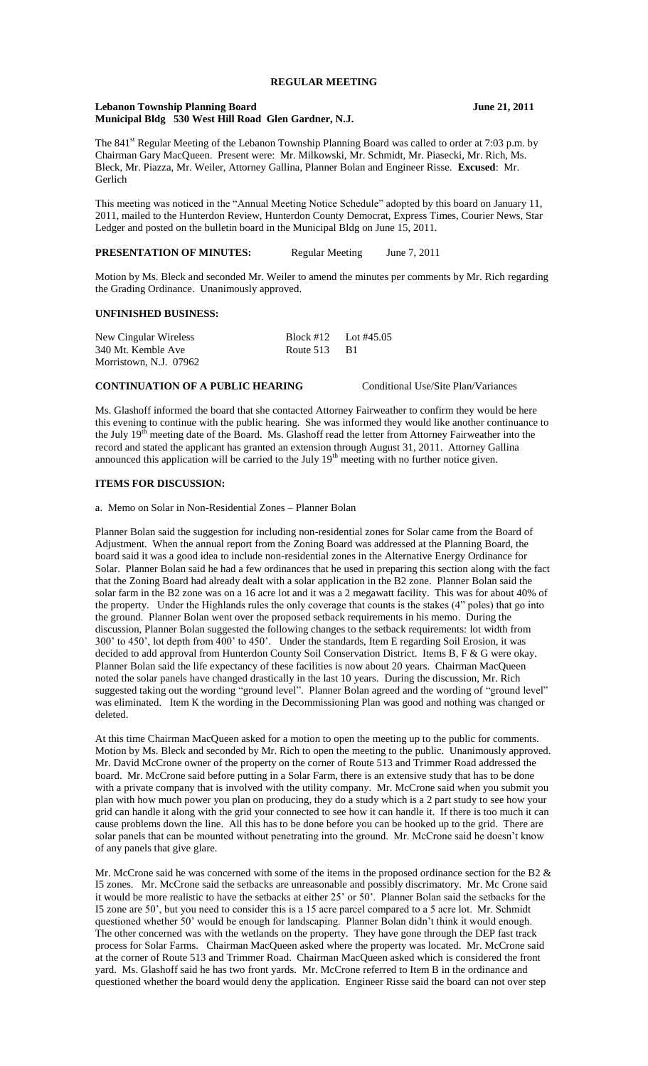# **REGULAR MEETING**

#### **Lebanon Township Planning Board June 21, 2011 Municipal Bldg 530 West Hill Road Glen Gardner, N.J.**

The 841<sup>st</sup> Regular Meeting of the Lebanon Township Planning Board was called to order at 7:03 p.m. by Chairman Gary MacQueen. Present were: Mr. Milkowski, Mr. Schmidt, Mr. Piasecki, Mr. Rich, Ms. Bleck, Mr. Piazza, Mr. Weiler, Attorney Gallina, Planner Bolan and Engineer Risse. **Excused**: Mr. Gerlich

This meeting was noticed in the "Annual Meeting Notice Schedule" adopted by this board on January 11, 2011, mailed to the Hunterdon Review, Hunterdon County Democrat, Express Times, Courier News, Star Ledger and posted on the bulletin board in the Municipal Bldg on June 15, 2011.

**PRESENTATION OF MINUTES:** Regular Meeting June 7, 2011

Motion by Ms. Bleck and seconded Mr. Weiler to amend the minutes per comments by Mr. Rich regarding the Grading Ordinance. Unanimously approved.

## **UNFINISHED BUSINESS:**

| New Cingular Wireless  |              | Block #12 Lot #45.05 |
|------------------------|--------------|----------------------|
| 340 Mt. Kemble Ave     | Route 513 B1 |                      |
| Morristown, N.J. 07962 |              |                      |

### **CONTINUATION OF A PUBLIC HEARING** Conditional Use/Site Plan/Variances

Ms. Glashoff informed the board that she contacted Attorney Fairweather to confirm they would be here this evening to continue with the public hearing. She was informed they would like another continuance to the July 19<sup>th</sup> meeting date of the Board. Ms. Glashoff read the letter from Attorney Fairweather into the record and stated the applicant has granted an extension through August 31, 2011. Attorney Gallina announced this application will be carried to the July  $19<sup>th</sup>$  meeting with no further notice given.

### **ITEMS FOR DISCUSSION:**

a. Memo on Solar in Non-Residential Zones – Planner Bolan

Planner Bolan said the suggestion for including non-residential zones for Solar came from the Board of Adjustment. When the annual report from the Zoning Board was addressed at the Planning Board, the board said it was a good idea to include non-residential zones in the Alternative Energy Ordinance for Solar. Planner Bolan said he had a few ordinances that he used in preparing this section along with the fact that the Zoning Board had already dealt with a solar application in the B2 zone. Planner Bolan said the solar farm in the B2 zone was on a 16 acre lot and it was a 2 megawatt facility. This was for about 40% of the property. Under the Highlands rules the only coverage that counts is the stakes (4" poles) that go into the ground. Planner Bolan went over the proposed setback requirements in his memo. During the discussion, Planner Bolan suggested the following changes to the setback requirements: lot width from 300' to 450', lot depth from 400' to 450'. Under the standards, Item E regarding Soil Erosion, it was decided to add approval from Hunterdon County Soil Conservation District. Items B, F & G were okay. Planner Bolan said the life expectancy of these facilities is now about 20 years. Chairman MacQueen noted the solar panels have changed drastically in the last 10 years. During the discussion, Mr. Rich suggested taking out the wording "ground level". Planner Bolan agreed and the wording of "ground level" was eliminated. Item K the wording in the Decommissioning Plan was good and nothing was changed or deleted.

At this time Chairman MacQueen asked for a motion to open the meeting up to the public for comments. Motion by Ms. Bleck and seconded by Mr. Rich to open the meeting to the public. Unanimously approved. Mr. David McCrone owner of the property on the corner of Route 513 and Trimmer Road addressed the board. Mr. McCrone said before putting in a Solar Farm, there is an extensive study that has to be done with a private company that is involved with the utility company. Mr. McCrone said when you submit you plan with how much power you plan on producing, they do a study which is a 2 part study to see how your grid can handle it along with the grid your connected to see how it can handle it. If there is too much it can cause problems down the line. All this has to be done before you can be hooked up to the grid. There are solar panels that can be mounted without penetrating into the ground. Mr. McCrone said he doesn't know of any panels that give glare.

Mr. McCrone said he was concerned with some of the items in the proposed ordinance section for the B2  $\&$ I5 zones. Mr. McCrone said the setbacks are unreasonable and possibly discrimatory. Mr. Mc Crone said it would be more realistic to have the setbacks at either 25' or 50'. Planner Bolan said the setbacks for the I5 zone are 50', but you need to consider this is a 15 acre parcel compared to a 5 acre lot. Mr. Schmidt questioned whether 50' would be enough for landscaping. Planner Bolan didn't think it would enough. The other concerned was with the wetlands on the property. They have gone through the DEP fast track process for Solar Farms. Chairman MacQueen asked where the property was located. Mr. McCrone said at the corner of Route 513 and Trimmer Road. Chairman MacQueen asked which is considered the front yard. Ms. Glashoff said he has two front yards. Mr. McCrone referred to Item B in the ordinance and questioned whether the board would deny the application. Engineer Risse said the board can not over step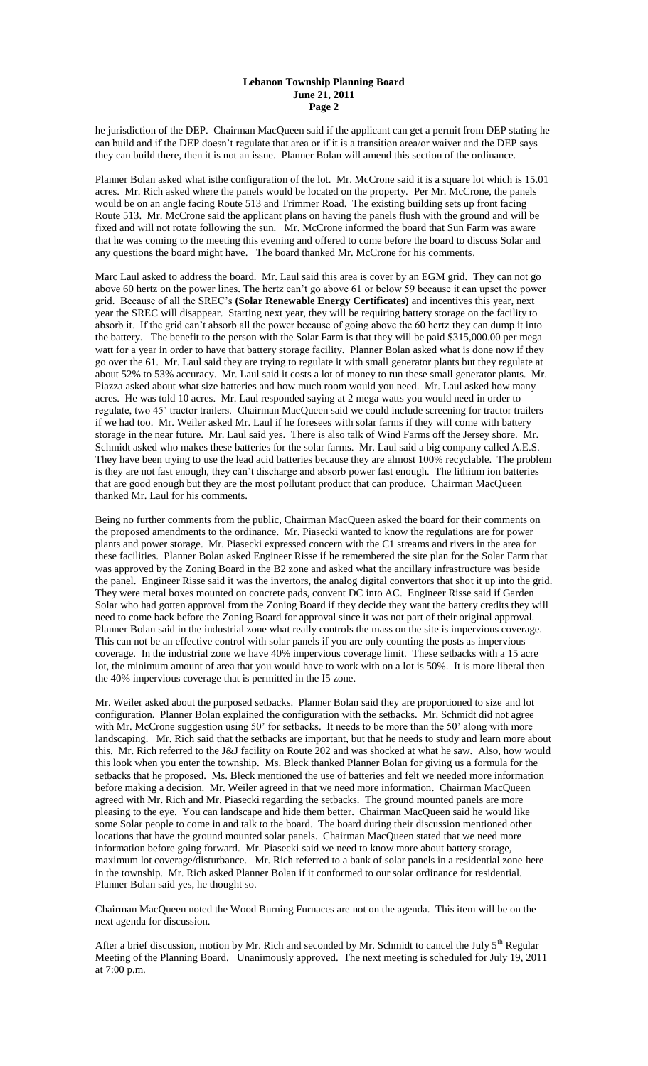#### **Lebanon Township Planning Board June 21, 2011 Page 2**

he jurisdiction of the DEP. Chairman MacQueen said if the applicant can get a permit from DEP stating he can build and if the DEP doesn't regulate that area or if it is a transition area/or waiver and the DEP says they can build there, then it is not an issue. Planner Bolan will amend this section of the ordinance.

Planner Bolan asked what isthe configuration of the lot. Mr. McCrone said it is a square lot which is 15.01 acres. Mr. Rich asked where the panels would be located on the property. Per Mr. McCrone, the panels would be on an angle facing Route 513 and Trimmer Road. The existing building sets up front facing Route 513. Mr. McCrone said the applicant plans on having the panels flush with the ground and will be fixed and will not rotate following the sun. Mr. McCrone informed the board that Sun Farm was aware that he was coming to the meeting this evening and offered to come before the board to discuss Solar and any questions the board might have. The board thanked Mr. McCrone for his comments.

Marc Laul asked to address the board. Mr. Laul said this area is cover by an EGM grid. They can not go above 60 hertz on the power lines. The hertz can't go above 61 or below 59 because it can upset the power grid. Because of all the SREC's **(Solar Renewable Energy Certificates)** and incentives this year, next year the SREC will disappear. Starting next year, they will be requiring battery storage on the facility to absorb it. If the grid can't absorb all the power because of going above the 60 hertz they can dump it into the battery. The benefit to the person with the Solar Farm is that they will be paid \$315,000.00 per mega watt for a year in order to have that battery storage facility. Planner Bolan asked what is done now if they go over the 61. Mr. Laul said they are trying to regulate it with small generator plants but they regulate at about 52% to 53% accuracy. Mr. Laul said it costs a lot of money to run these small generator plants. Mr. Piazza asked about what size batteries and how much room would you need. Mr. Laul asked how many acres. He was told 10 acres. Mr. Laul responded saying at 2 mega watts you would need in order to regulate, two 45' tractor trailers. Chairman MacQueen said we could include screening for tractor trailers if we had too. Mr. Weiler asked Mr. Laul if he foresees with solar farms if they will come with battery storage in the near future. Mr. Laul said yes. There is also talk of Wind Farms off the Jersey shore. Mr. Schmidt asked who makes these batteries for the solar farms. Mr. Laul said a big company called A.E.S. They have been trying to use the lead acid batteries because they are almost 100% recyclable. The problem is they are not fast enough, they can't discharge and absorb power fast enough. The lithium ion batteries that are good enough but they are the most pollutant product that can produce. Chairman MacQueen thanked Mr. Laul for his comments.

Being no further comments from the public, Chairman MacQueen asked the board for their comments on the proposed amendments to the ordinance. Mr. Piasecki wanted to know the regulations are for power plants and power storage. Mr. Piasecki expressed concern with the C1 streams and rivers in the area for these facilities. Planner Bolan asked Engineer Risse if he remembered the site plan for the Solar Farm that was approved by the Zoning Board in the B2 zone and asked what the ancillary infrastructure was beside the panel. Engineer Risse said it was the invertors, the analog digital convertors that shot it up into the grid. They were metal boxes mounted on concrete pads, convent DC into AC. Engineer Risse said if Garden Solar who had gotten approval from the Zoning Board if they decide they want the battery credits they will need to come back before the Zoning Board for approval since it was not part of their original approval. Planner Bolan said in the industrial zone what really controls the mass on the site is impervious coverage. This can not be an effective control with solar panels if you are only counting the posts as impervious coverage. In the industrial zone we have 40% impervious coverage limit. These setbacks with a 15 acre lot, the minimum amount of area that you would have to work with on a lot is 50%. It is more liberal then the 40% impervious coverage that is permitted in the I5 zone.

Mr. Weiler asked about the purposed setbacks. Planner Bolan said they are proportioned to size and lot configuration. Planner Bolan explained the configuration with the setbacks. Mr. Schmidt did not agree with Mr. McCrone suggestion using 50' for setbacks. It needs to be more than the 50' along with more landscaping. Mr. Rich said that the setbacks are important, but that he needs to study and learn more about this. Mr. Rich referred to the J&J facility on Route 202 and was shocked at what he saw. Also, how would this look when you enter the township. Ms. Bleck thanked Planner Bolan for giving us a formula for the setbacks that he proposed. Ms. Bleck mentioned the use of batteries and felt we needed more information before making a decision. Mr. Weiler agreed in that we need more information. Chairman MacQueen agreed with Mr. Rich and Mr. Piasecki regarding the setbacks. The ground mounted panels are more pleasing to the eye. You can landscape and hide them better. Chairman MacQueen said he would like some Solar people to come in and talk to the board. The board during their discussion mentioned other locations that have the ground mounted solar panels. Chairman MacQueen stated that we need more information before going forward. Mr. Piasecki said we need to know more about battery storage, maximum lot coverage/disturbance. Mr. Rich referred to a bank of solar panels in a residential zone here in the township. Mr. Rich asked Planner Bolan if it conformed to our solar ordinance for residential. Planner Bolan said yes, he thought so.

Chairman MacQueen noted the Wood Burning Furnaces are not on the agenda. This item will be on the next agenda for discussion.

After a brief discussion, motion by Mr. Rich and seconded by Mr. Schmidt to cancel the July  $5<sup>th</sup>$  Regular Meeting of the Planning Board. Unanimously approved. The next meeting is scheduled for July 19, 2011 at 7:00 p.m.